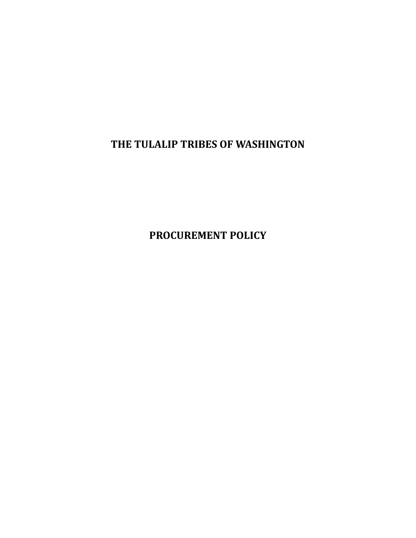**THE TULALIP TRIBES OF WASHINGTON**

**PROCUREMENT POLICY**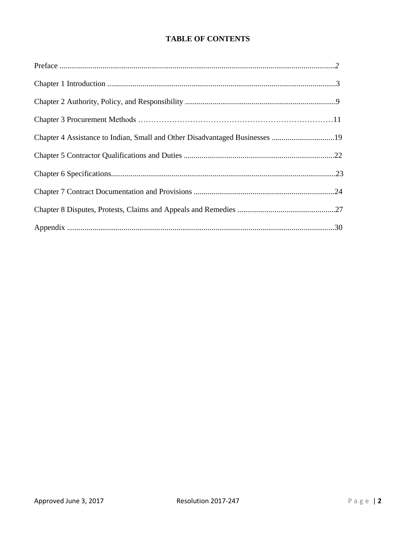# **TABLE OF CONTENTS**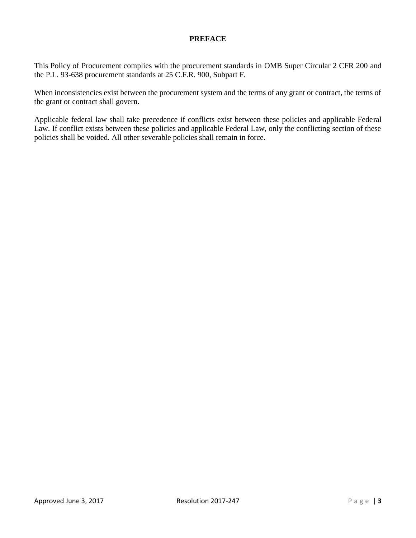# **PREFACE**

This Policy of Procurement complies with the procurement standards in OMB Super Circular 2 CFR 200 and the P.L. 93-638 procurement standards at 25 C.F.R. 900, Subpart F.

When inconsistencies exist between the procurement system and the terms of any grant or contract, the terms of the grant or contract shall govern.

Applicable federal law shall take precedence if conflicts exist between these policies and applicable Federal Law. If conflict exists between these policies and applicable Federal Law, only the conflicting section of these policies shall be voided. All other severable policies shall remain in force.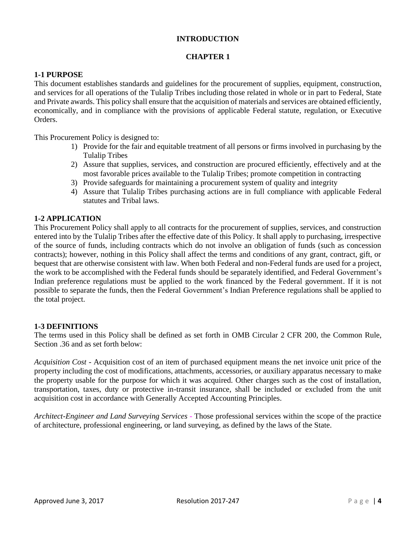## **INTRODUCTION**

## **CHAPTER 1**

## **1-1 PURPOSE**

This document establishes standards and guidelines for the procurement of supplies, equipment, construction, and services for all operations of the Tulalip Tribes including those related in whole or in part to Federal, State and Private awards. This policy shall ensure that the acquisition of materials and services are obtained efficiently, economically, and in compliance with the provisions of applicable Federal statute, regulation, or Executive Orders.

This Procurement Policy is designed to:

- 1) Provide for the fair and equitable treatment of all persons or firms involved in purchasing by the Tulalip Tribes
- 2) Assure that supplies, services, and construction are procured efficiently, effectively and at the most favorable prices available to the Tulalip Tribes; promote competition in contracting
- 3) Provide safeguards for maintaining a procurement system of quality and integrity
- 4) Assure that Tulalip Tribes purchasing actions are in full compliance with applicable Federal statutes and Tribal laws.

## **1-2 APPLICATION**

This Procurement Policy shall apply to all contracts for the procurement of supplies, services, and construction entered into by the Tulalip Tribes after the effective date of this Policy. It shall apply to purchasing, irrespective of the source of funds, including contracts which do not involve an obligation of funds (such as concession contracts); however, nothing in this Policy shall affect the terms and conditions of any grant, contract, gift, or bequest that are otherwise consistent with law. When both Federal and non-Federal funds are used for a project, the work to be accomplished with the Federal funds should be separately identified, and Federal Government's Indian preference regulations must be applied to the work financed by the Federal government. If it is not possible to separate the funds, then the Federal Government's Indian Preference regulations shall be applied to the total project.

#### **1-3 DEFINITIONS**

The terms used in this Policy shall be defined as set forth in OMB Circular 2 CFR 200, the Common Rule, Section .36 and as set forth below:

*Acquisition Cost* - Acquisition cost of an item of purchased equipment means the net invoice unit price of the property including the cost of modifications, attachments, accessories, or auxiliary apparatus necessary to make the property usable for the purpose for which it was acquired. Other charges such as the cost of installation, transportation, taxes, duty or protective in-transit insurance, shall be included or excluded from the unit acquisition cost in accordance with Generally Accepted Accounting Principles.

*Architect-Engineer and Land Surveying Services -* Those professional services within the scope of the practice of architecture, professional engineering, or land surveying, as defined by the laws of the State.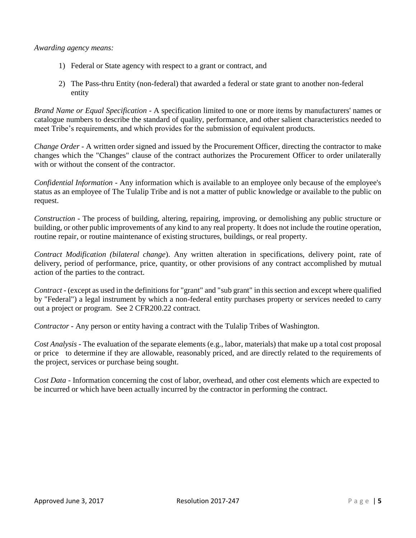*Awarding agency means:*

- 1) Federal or State agency with respect to a grant or contract, and
- 2) The Pass-thru Entity (non-federal) that awarded a federal or state grant to another non-federal entity

*Brand Name or Equal Specification -* A specification limited to one or more items by manufacturers' names or catalogue numbers to describe the standard of quality, performance, and other salient characteristics needed to meet Tribe's requirements, and which provides for the submission of equivalent products*.*

*Change Order* - A written order signed and issued by the Procurement Officer, directing the contractor to make changes which the "Changes" clause of the contract authorizes the Procurement Officer to order unilaterally with or without the consent of the contractor.

*Confidential Information* - Any information which is available to an employee only because of the employee's status as an employee of The Tulalip Tribe and is not a matter of public knowledge or available to the public on request.

*Construction -* The process of building, altering, repairing, improving, or demolishing any public structure or building, or other public improvements of any kind to any real property. It does not include the routine operation, routine repair, or routine maintenance of existing structures, buildings, or real property.

*Contract Modification (bilateral change*). Any written alteration in specifications, delivery point, rate of delivery, period of performance, price, quantity, or other provisions of any contract accomplished by mutual action of the parties to the contract.

*Contract* - (except as used in the definitions for "grant" and "sub grant" in this section and except where qualified by "Federal") a legal instrument by which a non-federal entity purchases property or services needed to carry out a project or program. See 2 CFR200.22 contract.

*Contractor -* Any person or entity having a contract with the Tulalip Tribes of Washington.

*Cost Analysis -* The evaluation of the separate elements (e.g., labor, materials) that make up a total cost proposal or price to determine if they are allowable, reasonably priced, and are directly related to the requirements of the project, services or purchase being sought.

*Cost Data* - Information concerning the cost of labor, overhead, and other cost elements which are expected to be incurred or which have been actually incurred by the contractor in performing the contract.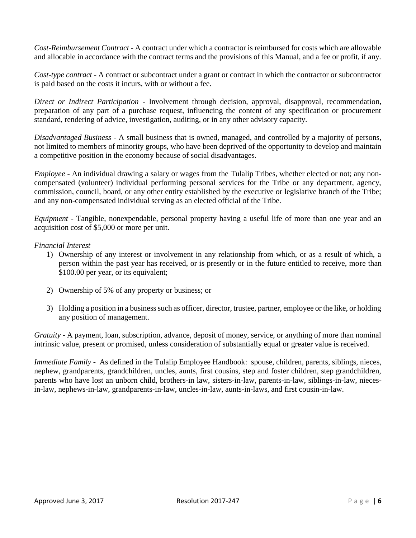*Cost-Reimbursement Contract -* A contract under which a contractor is reimbursed for costs which are allowable and allocable in accordance with the contract terms and the provisions of this Manual, and a fee or profit, if any.

*Cost-type contract -* A contract or subcontract under a grant or contract in which the contractor or subcontractor is paid based on the costs it incurs, with or without a fee.

*Direct or Indirect Participation* - Involvement through decision, approval, disapproval, recommendation, preparation of any part of a purchase request, influencing the content of any specification or procurement standard, rendering of advice, investigation, auditing, or in any other advisory capacity.

*Disadvantaged Business -* A small business that is owned, managed, and controlled by a majority of persons, not limited to members of minority groups, who have been deprived of the opportunity to develop and maintain a competitive position in the economy because of social disadvantages.

*Employee* - An individual drawing a salary or wages from the Tulalip Tribes, whether elected or not; any noncompensated (volunteer) individual performing personal services for the Tribe or any department, agency, commission, council, board, or any other entity established by the executive or legislative branch of the Tribe; and any non-compensated individual serving as an elected official of the Tribe.

*Equipment -* Tangible, nonexpendable, personal property having a useful life of more than one year and an acquisition cost of \$5,000 or more per unit.

# *Financial Interest*

- 1) Ownership of any interest or involvement in any relationship from which, or as a result of which, a person within the past year has received, or is presently or in the future entitled to receive, more than \$100.00 per year, or its equivalent;
- 2) Ownership of 5% of any property or business; or
- 3) Holding a position in a business such as officer, director, trustee, partner, employee or the like, or holding any position of management.

*Gratuity -* A payment, loan, subscription, advance, deposit of money, service, or anything of more than nominal intrinsic value, present or promised, unless consideration of substantially equal or greater value is received.

*Immediate Family* - As defined in the Tulalip Employee Handbook: spouse, children, parents, siblings, nieces, nephew, grandparents, grandchildren, uncles, aunts, first cousins, step and foster children, step grandchildren, parents who have lost an unborn child, brothers-in law, sisters-in-law, parents-in-law, siblings-in-law, niecesin-law, nephews-in-law, grandparents-in-law, uncles-in-law, aunts-in-laws, and first cousin-in-law.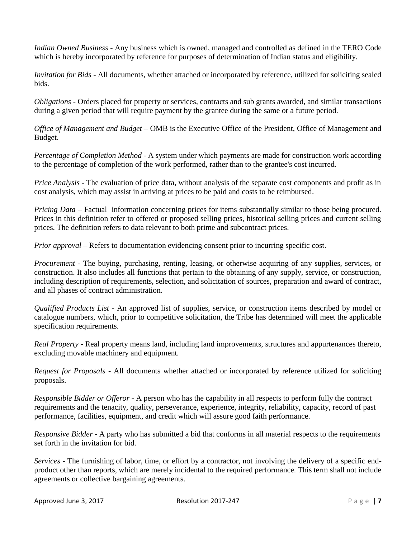*Indian Owned Business* - Any business which is owned, managed and controlled as defined in the TERO Code which is hereby incorporated by reference for purposes of determination of Indian status and eligibility.

*Invitation for Bids* - All documents, whether attached or incorporated by reference, utilized for soliciting sealed bids.

*Obligations -* Orders placed for property or services, contracts and sub grants awarded, and similar transactions during a given period that will require payment by the grantee during the same or a future period.

*Office of Management and Budget –* OMB is the Executive Office of the President, Office of Management and Budget.

*Percentage of Completion Method -* A system under which payments are made for construction work according to the percentage of completion of the work performed, rather than to the grantee's cost incurred.

*Price Analysis* - The evaluation of price data, without analysis of the separate cost components and profit as in cost analysis, which may assist in arriving at prices to be paid and costs to be reimbursed*.* 

*Pricing Data – Factual information concerning prices for items substantially similar to those being procured.* Prices in this definition refer to offered or proposed selling prices, historical selling prices and current selling prices. The definition refers to data relevant to both prime and subcontract prices.

*Prior approval* – Refers to documentation evidencing consent prior to incurring specific cost.

*Procurement -* The buying, purchasing, renting, leasing, or otherwise acquiring of any supplies, services, or construction. It also includes all functions that pertain to the obtaining of any supply, service, or construction, including description of requirements, selection, and solicitation of sources, preparation and award of contract, and all phases of contract administration.

*Qualified Products List -* An approved list of supplies, service, or construction items described by model or catalogue numbers, which, prior to competitive solicitation, the Tribe has determined will meet the applicable specification requirements.

*Real Property -* Real property means land, including land improvements, structures and appurtenances thereto, excluding movable machinery and equipment*.* 

*Request for Proposals -* All documents whether attached or incorporated by reference utilized for soliciting proposals.

*Responsible Bidder or Offeror -* A person who has the capability in all respects to perform fully the contract requirements and the tenacity, quality, perseverance, experience, integrity, reliability, capacity, record of past performance, facilities, equipment, and credit which will assure good faith performance.

*Responsive Bidder -* A party who has submitted a bid that conforms in all material respects to the requirements set forth in the invitation for bid.

*Services -* The furnishing of labor, time, or effort by a contractor, not involving the delivery of a specific endproduct other than reports, which are merely incidental to the required performance. This term shall not include agreements or collective bargaining agreements.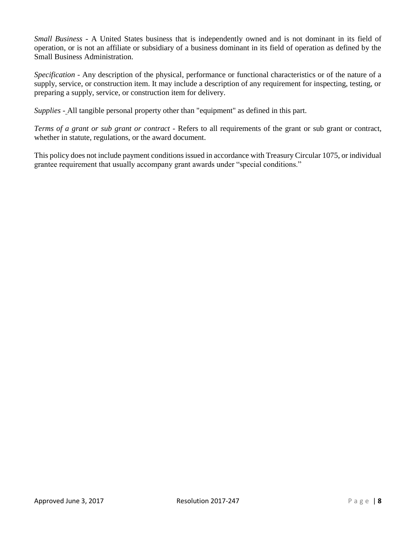*Small Business -* A United States business that is independently owned and is not dominant in its field of operation, or is not an affiliate or subsidiary of a business dominant in its field of operation as defined by the Small Business Administration.

*Specification -* Any description of the physical, performance or functional characteristics or of the nature of a supply, service, or construction item. It may include a description of any requirement for inspecting, testing, or preparing a supply, service, or construction item for delivery.

*Supplies* - All tangible personal property other than "equipment" as defined in this part.

*Terms of a grant or sub grant or contract* - Refers to all requirements of the grant or sub grant or contract, whether in statute, regulations, or the award document.

This policy does not include payment conditions issued in accordance with Treasury Circular 1075, or individual grantee requirement that usually accompany grant awards under "special conditions."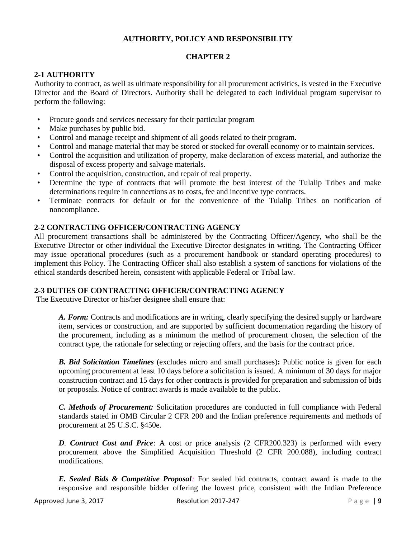# **AUTHORITY, POLICY AND RESPONSIBILITY**

# **CHAPTER 2**

# **2-1 AUTHORITY**

Authority to contract, as well as ultimate responsibility for all procurement activities, is vested in the Executive Director and the Board of Directors. Authority shall be delegated to each individual program supervisor to perform the following:

- Procure goods and services necessary for their particular program
- Make purchases by public bid.
- Control and manage receipt and shipment of all goods related to their program.
- Control and manage material that may be stored or stocked for overall economy or to maintain services.
- Control the acquisition and utilization of property, make declaration of excess material, and authorize the disposal of excess property and salvage materials.
- Control the acquisition, construction, and repair of real property.
- Determine the type of contracts that will promote the best interest of the Tulalip Tribes and make determinations require in connections as to costs, fee and incentive type contracts.
- Terminate contracts for default or for the convenience of the Tulalip Tribes on notification of noncompliance.

## **2-2 CONTRACTING OFFICER/CONTRACTING AGENCY**

All procurement transactions shall be administered by the Contracting Officer/Agency, who shall be the Executive Director or other individual the Executive Director designates in writing. The Contracting Officer may issue operational procedures (such as a procurement handbook or standard operating procedures) to implement this Policy. The Contracting Officer shall also establish a system of sanctions for violations of the ethical standards described herein, consistent with applicable Federal or Tribal law.

# **2-3 DUTIES OF CONTRACTING OFFICER/CONTRACTING AGENCY**

The Executive Director or his/her designee shall ensure that:

*A. Form:* Contracts and modifications are in writing, clearly specifying the desired supply or hardware item, services or construction, and are supported by sufficient documentation regarding the history of the procurement, including as a minimum the method of procurement chosen, the selection of the contract type, the rationale for selecting or rejecting offers, and the basis for the contract price.

*B. Bid Solicitation Timelines* (excludes micro and small purchases)**:** Public notice is given for each upcoming procurement at least 10 days before a solicitation is issued. A minimum of 30 days for major construction contract and 15 days for other contracts is provided for preparation and submission of bids or proposals. Notice of contract awards is made available to the public*.* 

*C. Methods of Procurement:* Solicitation procedures are conducted in full compliance with Federal standards stated in OMB Circular 2 CFR 200 and the Indian preference requirements and methods of procurement at 25 U.S.C. §450e*.* 

*D. Contract Cost and Price*: A cost or price analysis (2 CFR200.323) is performed with every procurement above the Simplified Acquisition Threshold (2 CFR 200.088), including contract modifications.

*E. Sealed Bids & Competitive Proposal:* For sealed bid contracts, contract award is made to the responsive and responsible bidder offering the lowest price, consistent with the Indian Preference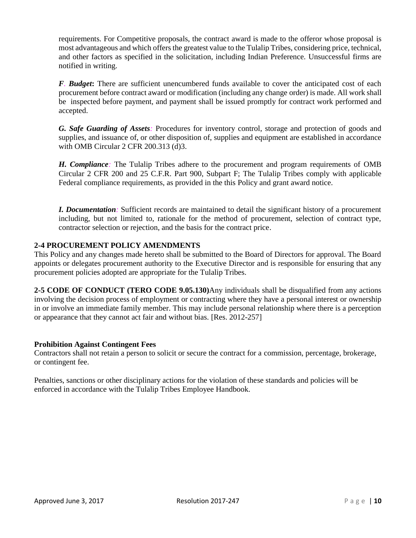requirements. For Competitive proposals, the contract award is made to the offeror whose proposal is most advantageous and which offers the greatest value to the Tulalip Tribes, considering price, technical, and other factors as specified in the solicitation, including Indian Preference. Unsuccessful firms are notified in writing.

*F. Budget***:** There are sufficient unencumbered funds available to cover the anticipated cost of each procurement before contract award or modification (including any change order) is made. All work shall be inspected before payment, and payment shall be issued promptly for contract work performed and accepted.

*G. Safe Guarding of Assets:* Procedures for inventory control, storage and protection of goods and supplies, and issuance of, or other disposition of, supplies and equipment are established in accordance with OMB Circular 2 CFR 200.313 (d)3.

*H. Compliance:* The Tulalip Tribes adhere to the procurement and program requirements of OMB Circular 2 CFR 200 and 25 C.F.R. Part 900, Subpart F; The Tulalip Tribes comply with applicable Federal compliance requirements, as provided in the this Policy and grant award notice.

*I. Documentation:* Sufficient records are maintained to detail the significant history of a procurement including, but not limited to, rationale for the method of procurement, selection of contract type, contractor selection or rejection, and the basis for the contract price.

# **2-4 PROCUREMENT POLICY AMENDMENTS**

This Policy and any changes made hereto shall be submitted to the Board of Directors for approval. The Board appoints or delegates procurement authority to the Executive Director and is responsible for ensuring that any procurement policies adopted are appropriate for the Tulalip Tribes.

**2-5 CODE OF CONDUCT (TERO CODE 9.05.130)**Any individuals shall be disqualified from any actions involving the decision process of employment or contracting where they have a personal interest or ownership in or involve an immediate family member. This may include personal relationship where there is a perception or appearance that they cannot act fair and without bias. [Res. 2012-257]

#### **Prohibition Against Contingent Fees**

Contractors shall not retain a person to solicit or secure the contract for a commission, percentage, brokerage, or contingent fee.

Penalties, sanctions or other disciplinary actions for the violation of these standards and policies will be enforced in accordance with the Tulalip Tribes Employee Handbook.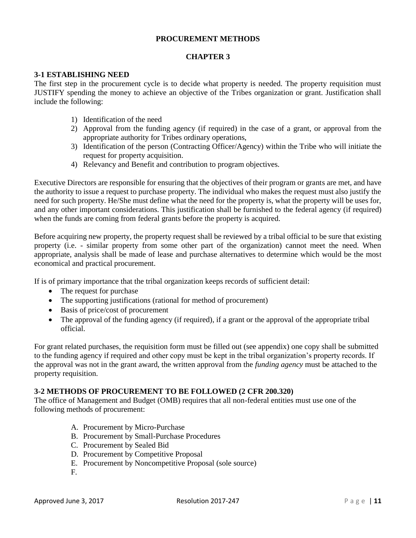## **PROCUREMENT METHODS**

#### **CHAPTER 3**

### **3-1 ESTABLISHING NEED**

The first step in the procurement cycle is to decide what property is needed. The property requisition must JUSTIFY spending the money to achieve an objective of the Tribes organization or grant. Justification shall include the following:

- 1) Identification of the need
- 2) Approval from the funding agency (if required) in the case of a grant, or approval from the appropriate authority for Tribes ordinary operations,
- 3) Identification of the person (Contracting Officer/Agency) within the Tribe who will initiate the request for property acquisition.
- 4) Relevancy and Benefit and contribution to program objectives.

Executive Directors are responsible for ensuring that the objectives of their program or grants are met, and have the authority to issue a request to purchase property. The individual who makes the request must also justify the need for such property. He/She must define what the need for the property is, what the property will be uses for, and any other important considerations. This justification shall be furnished to the federal agency (if required) when the funds are coming from federal grants before the property is acquired.

Before acquiring new property, the property request shall be reviewed by a tribal official to be sure that existing property (i.e. - similar property from some other part of the organization) cannot meet the need. When appropriate, analysis shall be made of lease and purchase alternatives to determine which would be the most economical and practical procurement.

If is of primary importance that the tribal organization keeps records of sufficient detail:

- The request for purchase
- The supporting justifications (rational for method of procurement)
- Basis of price/cost of procurement
- The approval of the funding agency (if required), if a grant or the approval of the appropriate tribal official.

For grant related purchases, the requisition form must be filled out (see appendix) one copy shall be submitted to the funding agency if required and other copy must be kept in the tribal organization's property records. If the approval was not in the grant award, the written approval from the *funding agency* must be attached to the property requisition.

#### **3-2 METHODS OF PROCUREMENT TO BE FOLLOWED (2 CFR 200.320)**

The office of Management and Budget (OMB) requires that all non-federal entities must use one of the following methods of procurement:

- A. Procurement by Micro-Purchase
- B. Procurement by Small-Purchase Procedures
- C. Procurement by Sealed Bid
- D. Procurement by Competitive Proposal
- E. Procurement by Noncompetitive Proposal (sole source)
- F.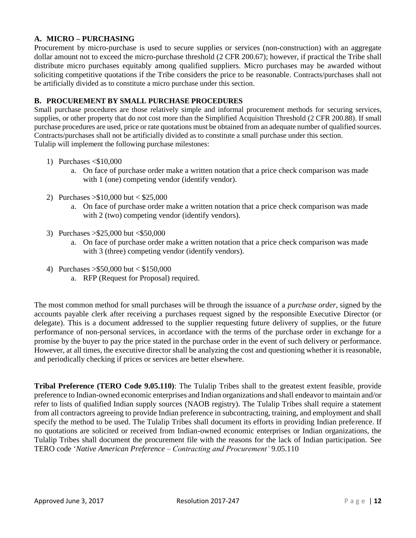# **A. MICRO – PURCHASING**

Procurement by micro-purchase is used to secure supplies or services (non-construction) with an aggregate dollar amount not to exceed the micro-purchase threshold (2 CFR 200.67); however, if practical the Tribe shall distribute micro purchases equitably among qualified suppliers. Micro purchases may be awarded without soliciting competitive quotations if the Tribe considers the price to be reasonable. Contracts/purchases shall not be artificially divided as to constitute a micro purchase under this section.

## **B. PROCUREMENT BY SMALL PURCHASE PROCEDURES**

Small purchase procedures are those relatively simple and informal procurement methods for securing services, supplies, or other property that do not cost more than the Simplified Acquisition Threshold (2 CFR 200.88). If small purchase procedures are used, price or rate quotations must be obtained from an adequate number of qualified sources. Contracts/purchases shall not be artificially divided as to constitute a small purchase under this section. Tulalip will implement the following purchase milestones:

- 1) Purchases <\$10,000
	- a. On face of purchase order make a written notation that a price check comparison was made with 1 (one) competing vendor (identify vendor).
- 2) Purchases >\$10,000 but < \$25,000
	- a. On face of purchase order make a written notation that a price check comparison was made with 2 (two) competing vendor (identify vendors).
- 3) Purchases >\$25,000 but <\$50,000
	- a. On face of purchase order make a written notation that a price check comparison was made with 3 (three) competing vendor (identify vendors).
- 4) Purchases >\$50,000 but < \$150,000
	- a. RFP (Request for Proposal) required.

The most common method for small purchases will be through the issuance of a *purchase order*, signed by the accounts payable clerk after receiving a purchases request signed by the responsible Executive Director (or delegate). This is a document addressed to the supplier requesting future delivery of supplies, or the future performance of non-personal services, in accordance with the terms of the purchase order in exchange for a promise by the buyer to pay the price stated in the purchase order in the event of such delivery or performance. However, at all times, the executive director shall be analyzing the cost and questioning whether it is reasonable, and periodically checking if prices or services are better elsewhere.

**Tribal Preference (TERO Code 9.05.110)**: The Tulalip Tribes shall to the greatest extent feasible, provide preference to Indian-owned economic enterprises and Indian organizations and shall endeavor to maintain and/or refer to lists of qualified Indian supply sources (NAOB registry). The Tulalip Tribes shall require a statement from all contractors agreeing to provide Indian preference in subcontracting, training, and employment and shall specify the method to be used. The Tulalip Tribes shall document its efforts in providing Indian preference. If no quotations are solicited or received from Indian-owned economic enterprises or Indian organizations, the Tulalip Tribes shall document the procurement file with the reasons for the lack of Indian participation. See TERO code '*Native American Preference – Contracting and Procurement'* 9.05.110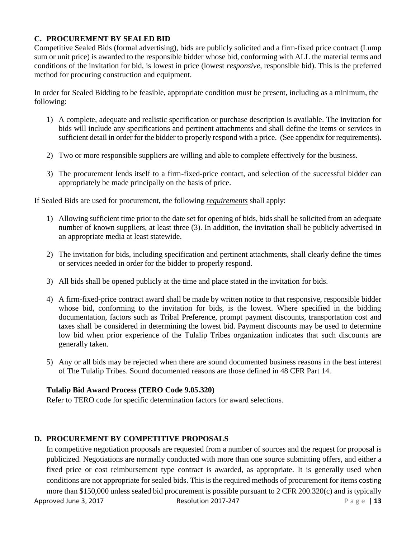# **C. PROCUREMENT BY SEALED BID**

Competitive Sealed Bids (formal advertising), bids are publicly solicited and a firm-fixed price contract (Lump sum or unit price) is awarded to the responsible bidder whose bid, conforming with ALL the material terms and conditions of the invitation for bid, is lowest in price (lowest *responsive*, responsible bid). This is the preferred method for procuring construction and equipment.

In order for Sealed Bidding to be feasible, appropriate condition must be present, including as a minimum, the following:

- 1) A complete, adequate and realistic specification or purchase description is available. The invitation for bids will include any specifications and pertinent attachments and shall define the items or services in sufficient detail in order for the bidder to properly respond with a price. (See appendix for requirements).
- 2) Two or more responsible suppliers are willing and able to complete effectively for the business.
- 3) The procurement lends itself to a firm-fixed-price contact, and selection of the successful bidder can appropriately be made principally on the basis of price.

If Sealed Bids are used for procurement, the following *requirements* shall apply:

- 1) Allowing sufficient time prior to the date set for opening of bids, bids shall be solicited from an adequate number of known suppliers, at least three (3). In addition, the invitation shall be publicly advertised in an appropriate media at least statewide.
- 2) The invitation for bids, including specification and pertinent attachments, shall clearly define the times or services needed in order for the bidder to properly respond.
- 3) All bids shall be opened publicly at the time and place stated in the invitation for bids.
- 4) A firm-fixed-price contract award shall be made by written notice to that responsive, responsible bidder whose bid, conforming to the invitation for bids, is the lowest. Where specified in the bidding documentation, factors such as Tribal Preference, prompt payment discounts, transportation cost and taxes shall be considered in determining the lowest bid. Payment discounts may be used to determine low bid when prior experience of the Tulalip Tribes organization indicates that such discounts are generally taken.
- 5) Any or all bids may be rejected when there are sound documented business reasons in the best interest of The Tulalip Tribes. Sound documented reasons are those defined in 48 CFR Part 14.

# **Tulalip Bid Award Process (TERO Code 9.05.320)**

Refer to TERO code for specific determination factors for award selections.

# **D. PROCUREMENT BY COMPETITIVE PROPOSALS**

Approved June 3, 2017 **Resolution 2017-247** P a g e | **13** In competitive negotiation proposals are requested from a number of sources and the request for proposal is publicized. Negotiations are normally conducted with more than one source submitting offers, and either a fixed price or cost reimbursement type contract is awarded, as appropriate. It is generally used when conditions are not appropriate for sealed bids. This is the required methods of procurement for items costing more than \$150,000 unless sealed bid procurement is possible pursuant to 2 CFR 200.320(c) and is typically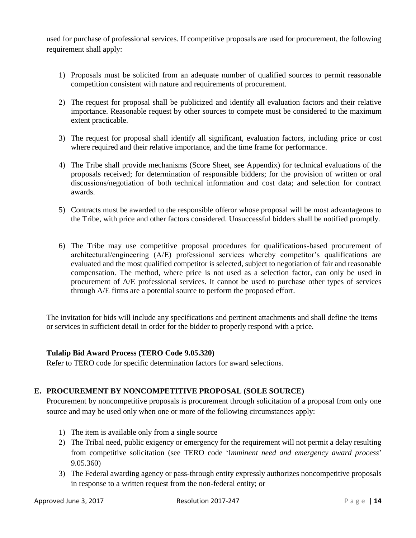used for purchase of professional services. If competitive proposals are used for procurement, the following requirement shall apply:

- 1) Proposals must be solicited from an adequate number of qualified sources to permit reasonable competition consistent with nature and requirements of procurement.
- 2) The request for proposal shall be publicized and identify all evaluation factors and their relative importance. Reasonable request by other sources to compete must be considered to the maximum extent practicable.
- 3) The request for proposal shall identify all significant, evaluation factors, including price or cost where required and their relative importance, and the time frame for performance.
- 4) The Tribe shall provide mechanisms (Score Sheet, see Appendix) for technical evaluations of the proposals received; for determination of responsible bidders; for the provision of written or oral discussions/negotiation of both technical information and cost data; and selection for contract awards.
- 5) Contracts must be awarded to the responsible offeror whose proposal will be most advantageous to the Tribe, with price and other factors considered. Unsuccessful bidders shall be notified promptly.
- 6) The Tribe may use competitive proposal procedures for qualifications-based procurement of architectural/engineering (A/E) professional services whereby competitor's qualifications are evaluated and the most qualified competitor is selected, subject to negotiation of fair and reasonable compensation. The method, where price is not used as a selection factor, can only be used in procurement of A/E professional services. It cannot be used to purchase other types of services through A/E firms are a potential source to perform the proposed effort.

The invitation for bids will include any specifications and pertinent attachments and shall define the items or services in sufficient detail in order for the bidder to properly respond with a price.

# **Tulalip Bid Award Process (TERO Code 9.05.320)**

Refer to TERO code for specific determination factors for award selections.

# **E. PROCUREMENT BY NONCOMPETITIVE PROPOSAL (SOLE SOURCE)**

Procurement by noncompetitive proposals is procurement through solicitation of a proposal from only one source and may be used only when one or more of the following circumstances apply:

- 1) The item is available only from a single source
- 2) The Tribal need, public exigency or emergency for the requirement will not permit a delay resulting from competitive solicitation (see TERO code 'I*mminent need and emergency award process*' 9.05.360)
- 3) The Federal awarding agency or pass-through entity expressly authorizes noncompetitive proposals in response to a written request from the non-federal entity; or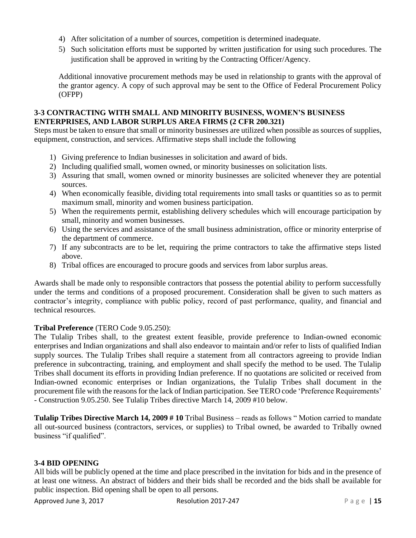- 4) After solicitation of a number of sources, competition is determined inadequate.
- 5) Such solicitation efforts must be supported by written justification for using such procedures. The justification shall be approved in writing by the Contracting Officer/Agency.

Additional innovative procurement methods may be used in relationship to grants with the approval of the grantor agency. A copy of such approval may be sent to the Office of Federal Procurement Policy (OFPP)

# **3-3 CONTRACTING WITH SMALL AND MINORITY BUSINESS, WOMEN'S BUSINESS ENTERPRISES, AND LABOR SURPLUS AREA FIRMS (2 CFR 200.321)**

Steps must be taken to ensure that small or minority businesses are utilized when possible as sources of supplies, equipment, construction, and services. Affirmative steps shall include the following

- 1) Giving preference to Indian businesses in solicitation and award of bids.
- 2) Including qualified small, women owned, or minority businesses on solicitation lists.
- 3) Assuring that small, women owned or minority businesses are solicited whenever they are potential sources.
- 4) When economically feasible, dividing total requirements into small tasks or quantities so as to permit maximum small, minority and women business participation.
- 5) When the requirements permit, establishing delivery schedules which will encourage participation by small, minority and women businesses.
- 6) Using the services and assistance of the small business administration, office or minority enterprise of the department of commerce.
- 7) If any subcontracts are to be let, requiring the prime contractors to take the affirmative steps listed above.
- 8) Tribal offices are encouraged to procure goods and services from labor surplus areas.

Awards shall be made only to responsible contractors that possess the potential ability to perform successfully under the terms and conditions of a proposed procurement. Consideration shall be given to such matters as contractor's integrity, compliance with public policy, record of past performance, quality, and financial and technical resources.

# **Tribal Preference** (TERO Code 9.05.250):

The Tulalip Tribes shall, to the greatest extent feasible, provide preference to Indian-owned economic enterprises and Indian organizations and shall also endeavor to maintain and/or refer to lists of qualified Indian supply sources. The Tulalip Tribes shall require a statement from all contractors agreeing to provide Indian preference in subcontracting, training, and employment and shall specify the method to be used. The Tulalip Tribes shall document its efforts in providing Indian preference. If no quotations are solicited or received from Indian-owned economic enterprises or Indian organizations, the Tulalip Tribes shall document in the procurement file with the reasons for the lack of Indian participation. See TERO code 'Preference Requirements' - Construction 9.05.250. See Tulalip Tribes directive March 14, 2009 #10 below.

**Tulalip Tribes Directive March 14, 2009 # 10** Tribal Business – reads as follows " Motion carried to mandate all out-sourced business (contractors, services, or supplies) to Tribal owned, be awarded to Tribally owned business "if qualified".

# **3-4 BID OPENING**

All bids will be publicly opened at the time and place prescribed in the invitation for bids and in the presence of at least one witness. An abstract of bidders and their bids shall be recorded and the bids shall be available for public inspection. Bid opening shall be open to all persons.

Approved June 3, 2017 **Resolution 2017-247** P a g e | 15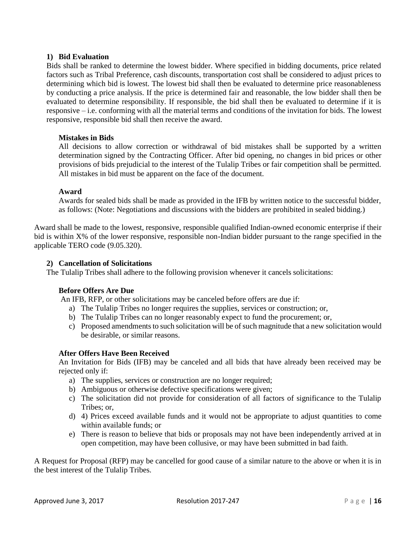## **1) Bid Evaluation**

Bids shall be ranked to determine the lowest bidder. Where specified in bidding documents, price related factors such as Tribal Preference, cash discounts, transportation cost shall be considered to adjust prices to determining which bid is lowest. The lowest bid shall then be evaluated to determine price reasonableness by conducting a price analysis. If the price is determined fair and reasonable, the low bidder shall then be evaluated to determine responsibility. If responsible, the bid shall then be evaluated to determine if it is responsive – i.e. conforming with all the material terms and conditions of the invitation for bids. The lowest responsive, responsible bid shall then receive the award.

#### **Mistakes in Bids**

All decisions to allow correction or withdrawal of bid mistakes shall be supported by a written determination signed by the Contracting Officer. After bid opening, no changes in bid prices or other provisions of bids prejudicial to the interest of the Tulalip Tribes or fair competition shall be permitted. All mistakes in bid must be apparent on the face of the document.

## **Award**

Awards for sealed bids shall be made as provided in the IFB by written notice to the successful bidder, as follows: (Note: Negotiations and discussions with the bidders are prohibited in sealed bidding.)

Award shall be made to the lowest, responsive, responsible qualified Indian-owned economic enterprise if their bid is within X% of the lower responsive, responsible non-Indian bidder pursuant to the range specified in the applicable TERO code (9.05.320).

## **2) Cancellation of Solicitations**

The Tulalip Tribes shall adhere to the following provision whenever it cancels solicitations:

# **Before Offers Are Due**

An IFB, RFP, or other solicitations may be canceled before offers are due if:

- a) The Tulalip Tribes no longer requires the supplies, services or construction; or,
- b) The Tulalip Tribes can no longer reasonably expect to fund the procurement; or,
- c) Proposed amendments to such solicitation will be of such magnitude that a new solicitation would be desirable, or similar reasons.

# **After Offers Have Been Received**

An Invitation for Bids (IFB) may be canceled and all bids that have already been received may be rejected only if:

- a) The supplies, services or construction are no longer required;
- b) Ambiguous or otherwise defective specifications were given;
- c) The solicitation did not provide for consideration of all factors of significance to the Tulalip Tribes; or,
- d) 4) Prices exceed available funds and it would not be appropriate to adjust quantities to come within available funds; or
- e) There is reason to believe that bids or proposals may not have been independently arrived at in open competition, may have been collusive, or may have been submitted in bad faith.

A Request for Proposal (RFP) may be cancelled for good cause of a similar nature to the above or when it is in the best interest of the Tulalip Tribes.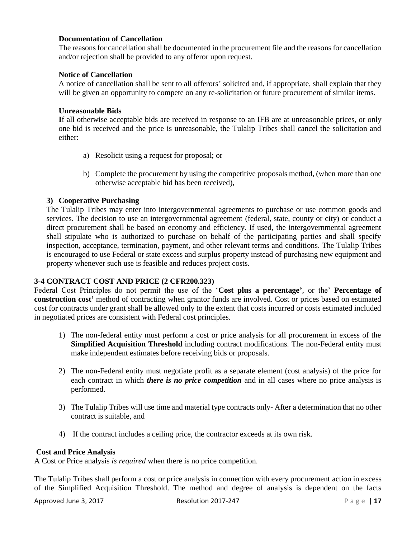## **Documentation of Cancellation**

The reasons for cancellation shall be documented in the procurement file and the reasons for cancellation and/or rejection shall be provided to any offeror upon request.

### **Notice of Cancellation**

A notice of cancellation shall be sent to all offerors' solicited and, if appropriate, shall explain that they will be given an opportunity to compete on any re-solicitation or future procurement of similar items.

### **Unreasonable Bids**

**I**f all otherwise acceptable bids are received in response to an IFB are at unreasonable prices, or only one bid is received and the price is unreasonable, the Tulalip Tribes shall cancel the solicitation and either:

- a) Resolicit using a request for proposal; or
- b) Complete the procurement by using the competitive proposals method, (when more than one otherwise acceptable bid has been received),

## **3) Cooperative Purchasing**

The Tulalip Tribes may enter into intergovernmental agreements to purchase or use common goods and services. The decision to use an intergovernmental agreement (federal, state, county or city) or conduct a direct procurement shall be based on economy and efficiency. If used, the intergovernmental agreement shall stipulate who is authorized to purchase on behalf of the participating parties and shall specify inspection, acceptance, termination, payment, and other relevant terms and conditions. The Tulalip Tribes is encouraged to use Federal or state excess and surplus property instead of purchasing new equipment and property whenever such use is feasible and reduces project costs.

# **3-4 CONTRACT COST AND PRICE (2 CFR200.323)**

Federal Cost Principles do not permit the use of the '**Cost plus a percentage'**, or the' **Percentage of construction cost'** method of contracting when grantor funds are involved. Cost or prices based on estimated cost for contracts under grant shall be allowed only to the extent that costs incurred or costs estimated included in negotiated prices are consistent with Federal cost principles.

- 1) The non-federal entity must perform a cost or price analysis for all procurement in excess of the **Simplified Acquisition Threshold** including contract modifications. The non-Federal entity must make independent estimates before receiving bids or proposals.
- 2) The non-Federal entity must negotiate profit as a separate element (cost analysis) of the price for each contract in which *there is no price competition* and in all cases where no price analysis is performed.
- 3) The Tulalip Tribes will use time and material type contracts only- After a determination that no other contract is suitable, and
- 4) If the contract includes a ceiling price, the contractor exceeds at its own risk.

#### **Cost and Price Analysis**

A Cost or Price analysis *is required* when there is no price competition.

The Tulalip Tribes shall perform a cost or price analysis in connection with every procurement action in excess of the Simplified Acquisition Threshold. The method and degree of analysis is dependent on the facts

Approved June 3, 2017 **Resolution 2017-247** P a g e | 17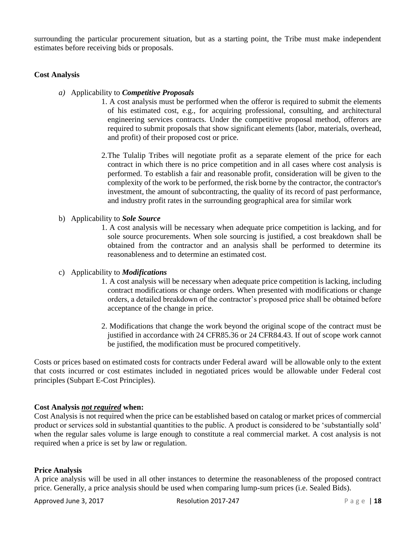surrounding the particular procurement situation, but as a starting point, the Tribe must make independent estimates before receiving bids or proposals.

## **Cost Analysis**

- *a)* Applicability to *Competitive Proposals*
	- 1. A cost analysis must be performed when the offeror is required to submit the elements of his estimated cost, e.g., for acquiring professional, consulting, and architectural engineering services contracts. Under the competitive proposal method, offerors are required to submit proposals that show significant elements (labor, materials, overhead, and profit) of their proposed cost or price*.*
	- 2.The Tulalip Tribes will negotiate profit as a separate element of the price for each contract in which there is no price competition and in all cases where cost analysis is performed. To establish a fair and reasonable profit, consideration will be given to the complexity of the work to be performed, the risk borne by the contractor, the contractor's investment, the amount of subcontracting, the quality of its record of past performance, and industry profit rates in the surrounding geographical area for similar work
- b) Applicability to *Sole Source*
	- 1. A cost analysis will be necessary when adequate price competition is lacking, and for sole source procurements. When sole sourcing is justified, a cost breakdown shall be obtained from the contractor and an analysis shall be performed to determine its reasonableness and to determine an estimated cost.

#### c) Applicability to *Modifications*

- 1. A cost analysis will be necessary when adequate price competition is lacking, including contract modifications or change orders. When presented with modifications or change orders, a detailed breakdown of the contractor's proposed price shall be obtained before acceptance of the change in price.
- 2. Modifications that change the work beyond the original scope of the contract must be justified in accordance with 24 CFR85.36 or 24 CFR84.43. If out of scope work cannot be justified, the modification must be procured competitively.

Costs or prices based on estimated costs for contracts under Federal award will be allowable only to the extent that costs incurred or cost estimates included in negotiated prices would be allowable under Federal cost principles (Subpart E-Cost Principles).

#### **Cost Analysis** *not required* **when:**

Cost Analysis is not required when the price can be established based on catalog or market prices of commercial product or services sold in substantial quantities to the public. A product is considered to be 'substantially sold' when the regular sales volume is large enough to constitute a real commercial market. A cost analysis is not required when a price is set by law or regulation.

#### **Price Analysis**

A price analysis will be used in all other instances to determine the reasonableness of the proposed contract price. Generally, a price analysis should be used when comparing lump-sum prices (i.e. Sealed Bids).

Approved June 3, 2017 **Resolution 2017-247** P a g e | **18**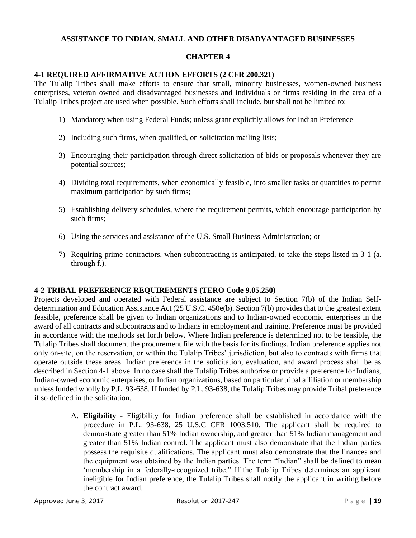## **ASSISTANCE TO INDIAN, SMALL AND OTHER DISADVANTAGED BUSINESSES**

#### **CHAPTER 4**

## **4-1 REQUIRED AFFIRMATIVE ACTION EFFORTS (2 CFR 200.321)**

The Tulalip Tribes shall make efforts to ensure that small, minority businesses, women-owned business enterprises, veteran owned and disadvantaged businesses and individuals or firms residing in the area of a Tulalip Tribes project are used when possible. Such efforts shall include, but shall not be limited to:

- 1) Mandatory when using Federal Funds; unless grant explicitly allows for Indian Preference
- 2) Including such firms, when qualified, on solicitation mailing lists;
- 3) Encouraging their participation through direct solicitation of bids or proposals whenever they are potential sources;
- 4) Dividing total requirements, when economically feasible, into smaller tasks or quantities to permit maximum participation by such firms;
- 5) Establishing delivery schedules, where the requirement permits, which encourage participation by such firms;
- 6) Using the services and assistance of the U.S. Small Business Administration; or
- 7) Requiring prime contractors, when subcontracting is anticipated, to take the steps listed in 3-1 (a. through f.).

#### **4-2 TRIBAL PREFERENCE REQUIREMENTS (TERO Code 9.05.250)**

Projects developed and operated with Federal assistance are subject to Section 7(b) of the Indian Selfdetermination and Education Assistance Act (25 U.S.C. 450e(b). Section 7(b) provides that to the greatest extent feasible, preference shall be given to Indian organizations and to Indian-owned economic enterprises in the award of all contracts and subcontracts and to Indians in employment and training. Preference must be provided in accordance with the methods set forth below. Where Indian preference is determined not to be feasible, the Tulalip Tribes shall document the procurement file with the basis for its findings. Indian preference applies not only on-site, on the reservation, or within the Tulalip Tribes' jurisdiction, but also to contracts with firms that operate outside these areas. Indian preference in the solicitation, evaluation, and award process shall be as described in Section 4-1 above. In no case shall the Tulalip Tribes authorize or provide a preference for Indians, Indian-owned economic enterprises, or Indian organizations, based on particular tribal affiliation or membership unless funded wholly by P.L. 93-638. If funded by P.L. 93-638, the Tulalip Tribes may provide Tribal preference if so defined in the solicitation.

> A. **Eligibility** *-* Eligibility for Indian preference shall be established in accordance with the procedure in P.L. 93-638, 25 U.S.C CFR 1003.510. The applicant shall be required to demonstrate greater than 51% Indian ownership, and greater than 51% Indian management and greater than 51% Indian control. The applicant must also demonstrate that the Indian parties possess the requisite qualifications. The applicant must also demonstrate that the finances and the equipment was obtained by the Indian parties. The term "Indian" shall be defined to mean 'membership in a federally-recognized tribe." If the Tulalip Tribes determines an applicant ineligible for Indian preference, the Tulalip Tribes shall notify the applicant in writing before the contract award.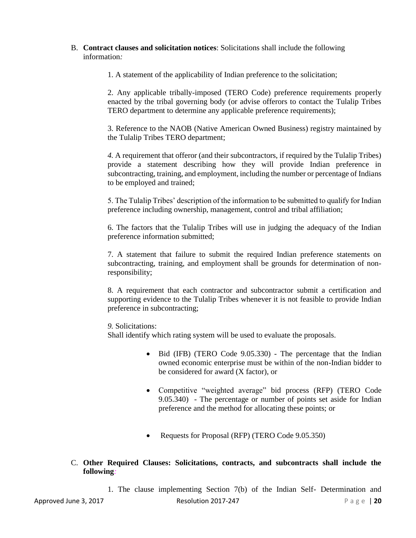B. **Contract clauses and solicitation notices**: Solicitations shall include the following information*:* 

1. A statement of the applicability of Indian preference to the solicitation;

2. Any applicable tribally-imposed (TERO Code) preference requirements properly enacted by the tribal governing body (or advise offerors to contact the Tulalip Tribes TERO department to determine any applicable preference requirements);

3. Reference to the NAOB (Native American Owned Business) registry maintained by the Tulalip Tribes TERO department;

*4.* A requirement that offeror (and their subcontractors, if required by the Tulalip Tribes) provide a statement describing how they will provide Indian preference in subcontracting, training, and employment, including the number or percentage of Indians to be employed and trained;

5. The Tulalip Tribes' description of the information to be submitted to qualify for Indian preference including ownership, management, control and tribal affiliation;

6. The factors that the Tulalip Tribes will use in judging the adequacy of the Indian preference information submitted;

7. A statement that failure to submit the required Indian preference statements on subcontracting, training, and employment shall be grounds for determination of nonresponsibility;

8. A requirement that each contractor and subcontractor submit a certification and supporting evidence to the Tulalip Tribes whenever it is not feasible to provide Indian preference in subcontracting;

*9.* Solicitations:

Shall identify which rating system will be used to evaluate the proposals.

- Bid (IFB) (TERO Code 9.05.330) The percentage that the Indian owned economic enterprise must be within of the non-Indian bidder to be considered for award (X factor), or
- Competitive "weighted average" bid process (RFP) (TERO Code 9.05.340) - The percentage or number of points set aside for Indian preference and the method for allocating these points; or
- Requests for Proposal (RFP) (TERO Code 9.05.350)
- C. **Other Required Clauses: Solicitations, contracts, and subcontracts shall include the following***:*

Approved June 3, 2017 **Resolution 2017-247** Page | 20 1. The clause implementing Section 7(b) of the Indian Self- Determination and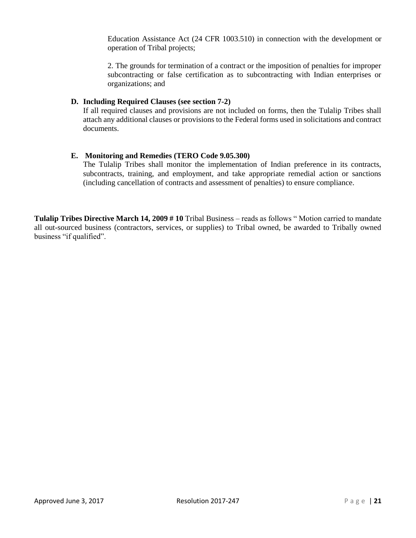Education Assistance Act (24 CFR 1003.510) in connection with the development or operation of Tribal projects;

2. The grounds for termination of a contract or the imposition of penalties for improper subcontracting or false certification as to subcontracting with Indian enterprises or organizations; and

### **D. Including Required Clauses (see section 7-2)**

If all required clauses and provisions are not included on forms, then the Tulalip Tribes shall attach any additional clauses or provisions to the Federal forms used in solicitations and contract documents.

# **E. Monitoring and Remedies (TERO Code 9.05.300)**

The Tulalip Tribes shall monitor the implementation of Indian preference in its contracts, subcontracts, training, and employment, and take appropriate remedial action or sanctions (including cancellation of contracts and assessment of penalties) to ensure compliance.

**Tulalip Tribes Directive March 14, 2009 # 10** Tribal Business – reads as follows " Motion carried to mandate all out-sourced business (contractors, services, or supplies) to Tribal owned, be awarded to Tribally owned business "if qualified".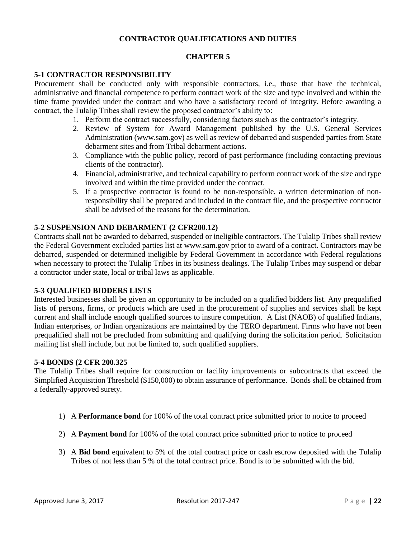# **CONTRACTOR QUALIFICATIONS AND DUTIES**

### **CHAPTER 5**

## **5-1 CONTRACTOR RESPONSIBILITY**

Procurement shall be conducted only with responsible contractors, i.e., those that have the technical, administrative and financial competence to perform contract work of the size and type involved and within the time frame provided under the contract and who have a satisfactory record of integrity. Before awarding a contract, the Tulalip Tribes shall review the proposed contractor's ability to:

- 1. Perform the contract successfully, considering factors such as the contractor's integrity.
- 2. Review of System for Award Management published by the U.S. General Services Administration (www.sam.gov) as well as review of debarred and suspended parties from State debarment sites and from Tribal debarment actions.
- 3. Compliance with the public policy, record of past performance (including contacting previous clients of the contractor).
- 4. Financial, administrative, and technical capability to perform contract work of the size and type involved and within the time provided under the contract.
- 5. If a prospective contractor is found to be non-responsible, a written determination of nonresponsibility shall be prepared and included in the contract file, and the prospective contractor shall be advised of the reasons for the determination.

#### **5-2 SUSPENSION AND DEBARMENT (2 CFR200.12)**

Contracts shall not be awarded to debarred, suspended or ineligible contractors. The Tulalip Tribes shall review the Federal Government excluded parties list at www.sam.gov prior to award of a contract. Contractors may be debarred, suspended or determined ineligible by Federal Government in accordance with Federal regulations when necessary to protect the Tulalip Tribes in its business dealings. The Tulalip Tribes may suspend or debar a contractor under state, local or tribal laws as applicable.

#### **5-3 QUALIFIED BIDDERS LISTS**

Interested businesses shall be given an opportunity to be included on a qualified bidders list. Any prequalified lists of persons, firms, or products which are used in the procurement of supplies and services shall be kept current and shall include enough qualified sources to insure competition. A List (NAOB) of qualified Indians, Indian enterprises, or Indian organizations are maintained by the TERO department. Firms who have not been prequalified shall not be precluded from submitting and qualifying during the solicitation period. Solicitation mailing list shall include, but not be limited to, such qualified suppliers.

#### **5-4 BONDS (2 CFR 200.325**

The Tulalip Tribes shall require for construction or facility improvements or subcontracts that exceed the Simplified Acquisition Threshold (\$150,000) to obtain assurance of performance. Bonds shall be obtained from a federally-approved surety.

- 1) A **Performance bond** for 100% of the total contract price submitted prior to notice to proceed
- 2) A **Payment bond** for 100% of the total contract price submitted prior to notice to proceed
- 3) A **Bid bond** equivalent to 5% of the total contract price or cash escrow deposited with the Tulalip Tribes of not less than 5 % of the total contract price. Bond is to be submitted with the bid.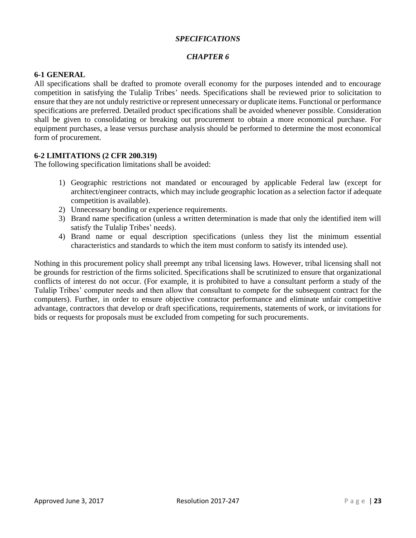## *SPECIFICATIONS*

## *CHAPTER 6*

## **6-1 GENERAL**

All specifications shall be drafted to promote overall economy for the purposes intended and to encourage competition in satisfying the Tulalip Tribes' needs. Specifications shall be reviewed prior to solicitation to ensure that they are not unduly restrictive or represent unnecessary or duplicate items. Functional or performance specifications are preferred. Detailed product specifications shall be avoided whenever possible. Consideration shall be given to consolidating or breaking out procurement to obtain a more economical purchase. For equipment purchases, a lease versus purchase analysis should be performed to determine the most economical form of procurement.

#### **6-2 LIMITATIONS (2 CFR 200.319)**

The following specification limitations shall be avoided:

- 1) Geographic restrictions not mandated or encouraged by applicable Federal law (except for architect/engineer contracts, which may include geographic location as a selection factor if adequate competition is available).
- 2) Unnecessary bonding or experience requirements.
- 3) Brand name specification (unless a written determination is made that only the identified item will satisfy the Tulalip Tribes' needs).
- 4) Brand name or equal description specifications (unless they list the minimum essential characteristics and standards to which the item must conform to satisfy its intended use).

Nothing in this procurement policy shall preempt any tribal licensing laws. However, tribal licensing shall not be grounds for restriction of the firms solicited. Specifications shall be scrutinized to ensure that organizational conflicts of interest do not occur. (For example, it is prohibited to have a consultant perform a study of the Tulalip Tribes' computer needs and then allow that consultant to compete for the subsequent contract for the computers). Further, in order to ensure objective contractor performance and eliminate unfair competitive advantage, contractors that develop or draft specifications, requirements, statements of work, or invitations for bids or requests for proposals must be excluded from competing for such procurements.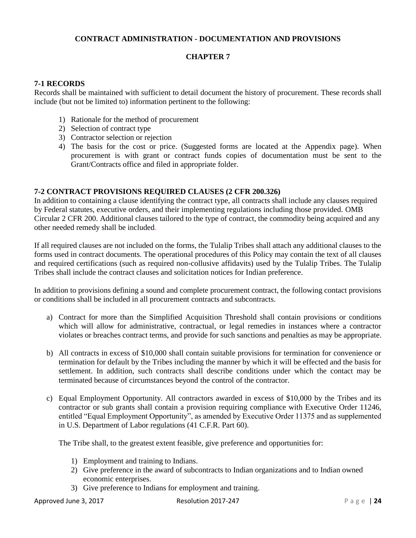# **CONTRACT ADMINISTRATION - DOCUMENTATION AND PROVISIONS**

## **CHAPTER 7**

#### **7-1 RECORDS**

Records shall be maintained with sufficient to detail document the history of procurement. These records shall include (but not be limited to) information pertinent to the following:

- 1) Rationale for the method of procurement
- 2) Selection of contract type
- 3) Contractor selection or rejection
- 4) The basis for the cost or price. (Suggested forms are located at the Appendix page). When procurement is with grant or contract funds copies of documentation must be sent to the Grant/Contracts office and filed in appropriate folder.

## **7-2 CONTRACT PROVISIONS REQUIRED CLAUSES (2 CFR 200.326)**

In addition to containing a clause identifying the contract type, all contracts shall include any clauses required by Federal statutes, executive orders, and their implementing regulations including those provided. OMB Circular 2 CFR 200. Additional clauses tailored to the type of contract, the commodity being acquired and any other needed remedy shall be included*.*

If all required clauses are not included on the forms, the Tulalip Tribes shall attach any additional clauses to the forms used in contract documents. The operational procedures of this Policy may contain the text of all clauses and required certifications (such as required non-collusive affidavits) used by the Tulalip Tribes. The Tulalip Tribes shall include the contract clauses and solicitation notices for Indian preference.

In addition to provisions defining a sound and complete procurement contract, the following contact provisions or conditions shall be included in all procurement contracts and subcontracts.

- a) Contract for more than the Simplified Acquisition Threshold shall contain provisions or conditions which will allow for administrative, contractual, or legal remedies in instances where a contractor violates or breaches contract terms, and provide for such sanctions and penalties as may be appropriate.
- b) All contracts in excess of \$10,000 shall contain suitable provisions for termination for convenience or termination for default by the Tribes including the manner by which it will be effected and the basis for settlement. In addition, such contracts shall describe conditions under which the contact may be terminated because of circumstances beyond the control of the contractor.
- c) Equal Employment Opportunity. All contractors awarded in excess of \$10,000 by the Tribes and its contractor or sub grants shall contain a provision requiring compliance with Executive Order 11246, entitled "Equal Employment Opportunity", as amended by Executive Order 11375 and as supplemented in U.S. Department of Labor regulations (41 C.F.R. Part 60).

The Tribe shall, to the greatest extent feasible, give preference and opportunities for:

- 1) Employment and training to Indians.
- 2) Give preference in the award of subcontracts to Indian organizations and to Indian owned economic enterprises.
- 3) Give preference to Indians for employment and training.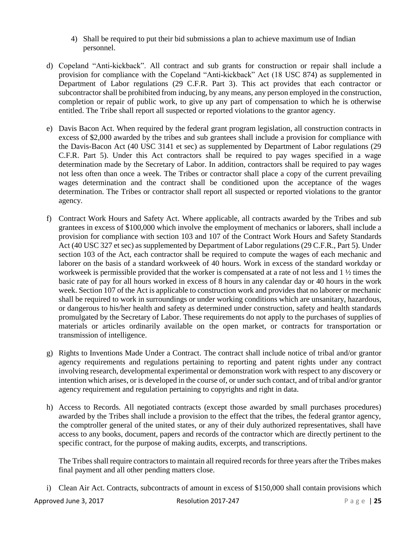- 4) Shall be required to put their bid submissions a plan to achieve maximum use of Indian personnel.
- d) Copeland "Anti-kickback". All contract and sub grants for construction or repair shall include a provision for compliance with the Copeland "Anti-kickback" Act (18 USC 874) as supplemented in Department of Labor regulations (29 C.F.R. Part 3). This act provides that each contractor or subcontractor shall be prohibited from inducing, by any means, any person employed in the construction, completion or repair of public work, to give up any part of compensation to which he is otherwise entitled. The Tribe shall report all suspected or reported violations to the grantor agency.
- e) Davis Bacon Act. When required by the federal grant program legislation, all construction contracts in excess of \$2,000 awarded by the tribes and sub grantees shall include a provision for compliance with the Davis-Bacon Act (40 USC 3141 et sec) as supplemented by Department of Labor regulations (29 C.F.R. Part 5). Under this Act contractors shall be required to pay wages specified in a wage determination made by the Secretary of Labor. In addition, contractors shall be required to pay wages not less often than once a week. The Tribes or contractor shall place a copy of the current prevailing wages determination and the contract shall be conditioned upon the acceptance of the wages determination. The Tribes or contractor shall report all suspected or reported violations to the grantor agency.
- f) Contract Work Hours and Safety Act. Where applicable, all contracts awarded by the Tribes and sub grantees in excess of \$100,000 which involve the employment of mechanics or laborers, shall include a provision for compliance with section 103 and 107 of the Contract Work Hours and Safety Standards Act (40 USC 327 et sec) as supplemented by Department of Labor regulations (29 C.F.R., Part 5). Under section 103 of the Act, each contractor shall be required to compute the wages of each mechanic and laborer on the basis of a standard workweek of 40 hours. Work in excess of the standard workday or workweek is permissible provided that the worker is compensated at a rate of not less and 1 ½ times the basic rate of pay for all hours worked in excess of 8 hours in any calendar day or 40 hours in the work week. Section 107 of the Act is applicable to construction work and provides that no laborer or mechanic shall be required to work in surroundings or under working conditions which are unsanitary, hazardous, or dangerous to his/her health and safety as determined under construction, safety and health standards promulgated by the Secretary of Labor. These requirements do not apply to the purchases of supplies of materials or articles ordinarily available on the open market, or contracts for transportation or transmission of intelligence.
- g) Rights to Inventions Made Under a Contract. The contract shall include notice of tribal and/or grantor agency requirements and regulations pertaining to reporting and patent rights under any contract involving research, developmental experimental or demonstration work with respect to any discovery or intention which arises, or is developed in the course of, or under such contact, and of tribal and/or grantor agency requirement and regulation pertaining to copyrights and right in data.
- h) Access to Records. All negotiated contracts (except those awarded by small purchases procedures) awarded by the Tribes shall include a provision to the effect that the tribes, the federal grantor agency, the comptroller general of the united states, or any of their duly authorized representatives, shall have access to any books, document, papers and records of the contractor which are directly pertinent to the specific contract, for the purpose of making audits, excerpts, and transcriptions.

The Tribes shall require contractors to maintain all required records for three years after the Tribes makes final payment and all other pending matters close.

i) Clean Air Act. Contracts, subcontracts of amount in excess of \$150,000 shall contain provisions which

Approved June 3, 2017 **Resolution 2017-247** P a g e | 25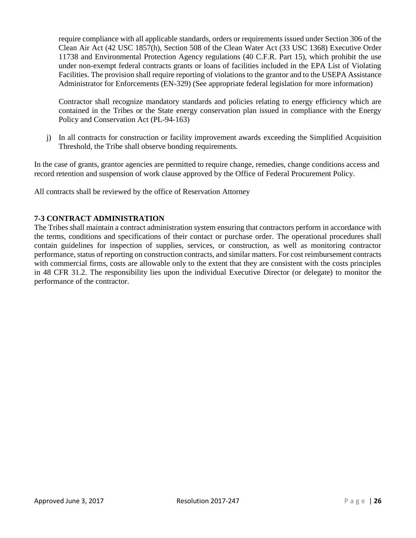require compliance with all applicable standards, orders or requirements issued under Section 306 of the Clean Air Act (42 USC 1857(h), Section 508 of the Clean Water Act (33 USC 1368) Executive Order 11738 and Environmental Protection Agency regulations (40 C.F.R. Part 15), which prohibit the use under non-exempt federal contracts grants or loans of facilities included in the EPA List of Violating Facilities. The provision shall require reporting of violations to the grantor and to the USEPA Assistance Administrator for Enforcements (EN-329) (See appropriate federal legislation for more information)

Contractor shall recognize mandatory standards and policies relating to energy efficiency which are contained in the Tribes or the State energy conservation plan issued in compliance with the Energy Policy and Conservation Act (PL-94-163)

j) In all contracts for construction or facility improvement awards exceeding the Simplified Acquisition Threshold, the Tribe shall observe bonding requirements.

In the case of grants, grantor agencies are permitted to require change, remedies, change conditions access and record retention and suspension of work clause approved by the Office of Federal Procurement Policy.

All contracts shall be reviewed by the office of Reservation Attorney

# **7-3 CONTRACT ADMINISTRATION**

The Tribes shall maintain a contract administration system ensuring that contractors perform in accordance with the terms, conditions and specifications of their contact or purchase order. The operational procedures shall contain guidelines for inspection of supplies, services, or construction, as well as monitoring contractor performance, status of reporting on construction contracts, and similar matters. For cost reimbursement contracts with commercial firms, costs are allowable only to the extent that they are consistent with the costs principles in 48 CFR 31.2. The responsibility lies upon the individual Executive Director (or delegate) to monitor the performance of the contractor.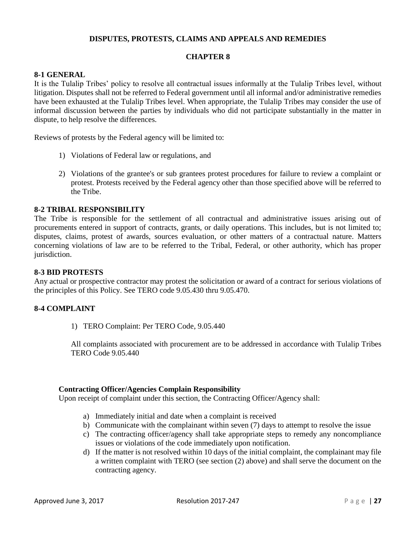## **DISPUTES, PROTESTS, CLAIMS AND APPEALS AND REMEDIES**

#### **CHAPTER 8**

#### **8-1 GENERAL**

It is the Tulalip Tribes' policy to resolve all contractual issues informally at the Tulalip Tribes level, without litigation. Disputes shall not be referred to Federal government until all informal and/or administrative remedies have been exhausted at the Tulalip Tribes level. When appropriate, the Tulalip Tribes may consider the use of informal discussion between the parties by individuals who did not participate substantially in the matter in dispute, to help resolve the differences.

Reviews of protests by the Federal agency will be limited to:

- 1) Violations of Federal law or regulations, and
- 2) Violations of the grantee's or sub grantees protest procedures for failure to review a complaint or protest. Protests received by the Federal agency other than those specified above will be referred to the Tribe.

#### **8-2 TRIBAL RESPONSIBILITY**

The Tribe is responsible for the settlement of all contractual and administrative issues arising out of procurements entered in support of contracts, grants, or daily operations. This includes, but is not limited to; disputes, claims, protest of awards, sources evaluation, or other matters of a contractual nature. Matters concerning violations of law are to be referred to the Tribal, Federal, or other authority, which has proper jurisdiction.

#### **8-3 BID PROTESTS**

Any actual or prospective contractor may protest the solicitation or award of a contract for serious violations of the principles of this Policy. See TERO code 9.05.430 thru 9.05.470.

# **8-4 COMPLAINT**

1) TERO Complaint: Per TERO Code, 9.05.440

All complaints associated with procurement are to be addressed in accordance with Tulalip Tribes TERO Code 9.05.440

#### **Contracting Officer/Agencies Complain Responsibility**

Upon receipt of complaint under this section, the Contracting Officer/Agency shall:

- a) Immediately initial and date when a complaint is received
- b) Communicate with the complainant within seven (7) days to attempt to resolve the issue
- c) The contracting officer/agency shall take appropriate steps to remedy any noncompliance issues or violations of the code immediately upon notification.
- d) If the matter is not resolved within 10 days of the initial complaint, the complainant may file a written complaint with TERO (see section (2) above) and shall serve the document on the contracting agency.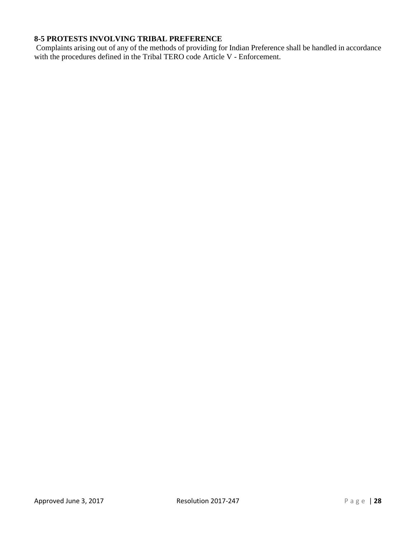# **8-5 PROTESTS INVOLVING TRIBAL PREFERENCE**

Complaints arising out of any of the methods of providing for Indian Preference shall be handled in accordance with the procedures defined in the Tribal TERO code Article V - Enforcement.